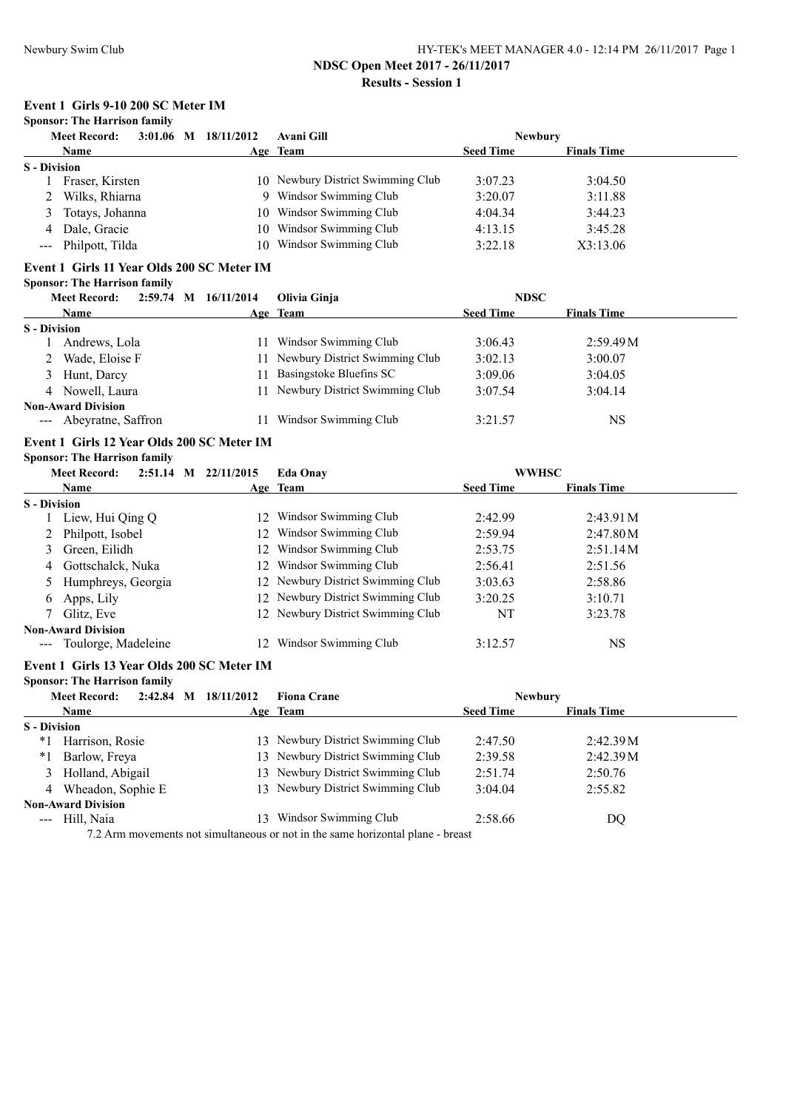**Results - Session 1**

# **Event 1 Girls 9-10 200 SC Meter IM**

# **Sponsor: The Harrison family**

|                     | $3:01.06$ M $18/11/2012$<br><b>Meet Record:</b> |    | Avani Gill                        | <b>Newbury</b>   |                    |
|---------------------|-------------------------------------------------|----|-----------------------------------|------------------|--------------------|
|                     | <b>Name</b>                                     |    | Age Team                          | <b>Seed Time</b> | <b>Finals Time</b> |
| <b>S</b> - Division |                                                 |    |                                   |                  |                    |
|                     | Fraser, Kirsten                                 |    | 10 Newbury District Swimming Club | 3:07.23          | 3:04.50            |
|                     | Wilks, Rhiarna                                  | Q. | Windsor Swimming Club             | 3:20.07          | 3:11.88            |
| 3                   | Totays, Johanna                                 |    | 10 Windsor Swimming Club          | 4:04.34          | 3:44.23            |
| 4                   | Dale, Gracie                                    |    | 10 Windsor Swimming Club          | 4:13.15          | 3:45.28            |
|                     | --- Philpott, Tilda                             |    | 10 Windsor Swimming Club          | 3:22.18          | X3:13.06           |

# **Event 1 Girls 11 Year Olds 200 SC Meter IM**

# **Sponsor: The Harrison family**

|                     | <b>Meet Record:</b>       | 2:59.74 M 16/11/2014 | Olivia Ginja                   | <b>NDSC</b>      |                    |  |
|---------------------|---------------------------|----------------------|--------------------------------|------------------|--------------------|--|
|                     | <b>Name</b>               |                      | Age Team                       | <b>Seed Time</b> | <b>Finals Time</b> |  |
| <b>S</b> - Division |                           |                      |                                |                  |                    |  |
|                     | Andrews, Lola             | 11                   | Windsor Swimming Club          | 3:06.43          | 2:59.49M           |  |
|                     | Wade, Eloise F            | 11                   | Newbury District Swimming Club | 3:02.13          | 3:00.07            |  |
|                     | 3 Hunt, Darcy             |                      | Basingstoke Bluefins SC        | 3:09.06          | 3:04.05            |  |
|                     | 4 Nowell, Laura           | 11                   | Newbury District Swimming Club | 3:07.54          | 3:04.14            |  |
|                     | <b>Non-Award Division</b> |                      |                                |                  |                    |  |
|                     | --- Abeyratne, Saffron    |                      | Windsor Swimming Club          | 3:21.57          | NS                 |  |

# **Event 1 Girls 12 Year Olds 200 SC Meter IM Sponsor: The Harrison family**

|                      | <b>Meet Record:</b>       | $2:51.14$ M |  |                 | 22/11/2015                        | <b>Eda Onav</b>  | <b>WWHSC</b>       |  |  |
|----------------------|---------------------------|-------------|--|-----------------|-----------------------------------|------------------|--------------------|--|--|
|                      | <b>Name</b>               |             |  |                 | Age Team                          | <b>Seed Time</b> | <b>Finals Time</b> |  |  |
| <b>S</b> - Division  |                           |             |  |                 |                                   |                  |                    |  |  |
|                      | Liew, Hui Qing Q          |             |  | 12 <sup>2</sup> | Windsor Swimming Club             | 2:42.99          | 2:43.91M           |  |  |
|                      | Philpott, Isobel          |             |  | 12              | Windsor Swimming Club             | 2:59.94          | 2:47.80M           |  |  |
| 3                    | Green, Eilidh             |             |  | 12.             | Windsor Swimming Club             | 2:53.75          | 2:51.14M           |  |  |
| 4                    | Gottschalck, Nuka         |             |  |                 | 12 Windsor Swimming Club          | 2:56.41          | 2:51.56            |  |  |
|                      | Humphreys, Georgia        |             |  |                 | 12 Newbury District Swimming Club | 3:03.63          | 2:58.86            |  |  |
| $\sigma$             | Apps, Lily                |             |  |                 | 12 Newbury District Swimming Club | 3:20.25          | 3:10.71            |  |  |
|                      | Glitz, Eve                |             |  |                 | 12 Newbury District Swimming Club | NT               | 3:23.78            |  |  |
|                      | <b>Non-Award Division</b> |             |  |                 |                                   |                  |                    |  |  |
| $\sim$ $\sim$ $\sim$ | Toulorge, Madeleine       |             |  |                 | Windsor Swimming Club             | 3:12.57          | NS                 |  |  |

#### **Event 1 Girls 13 Year Olds 200 SC Meter IM**

#### **Sponsor: The Harrison family**

|                     | <b>Meet Record:</b>       | 2:42.84<br>M | 18/11/2012 | <b>Fiona Crane</b>                                                             | <b>Newbury</b>   |                    |  |
|---------------------|---------------------------|--------------|------------|--------------------------------------------------------------------------------|------------------|--------------------|--|
|                     | <b>Name</b>               |              |            | Age Team                                                                       | <b>Seed Time</b> | <b>Finals Time</b> |  |
| <b>S</b> - Division |                           |              |            |                                                                                |                  |                    |  |
| *1                  | Harrison, Rosie           |              |            | 13 Newbury District Swimming Club                                              | 2:47.50          | 2:42.39M           |  |
| $*_{1}$             | Barlow, Freya             |              |            | 13 Newbury District Swimming Club                                              | 2:39.58          | 2:42.39M           |  |
|                     | 3 Holland, Abigail        |              |            | 13 Newbury District Swimming Club                                              | 2:51.74          | 2:50.76            |  |
|                     | 4 Wheadon, Sophie E       |              |            | 13 Newbury District Swimming Club                                              | 3:04.04          | 2:55.82            |  |
|                     | <b>Non-Award Division</b> |              |            |                                                                                |                  |                    |  |
|                     | --- Hill, Naia            |              | 13         | Windsor Swimming Club                                                          | 2:58.66          | DQ                 |  |
|                     |                           |              |            | 7.2. Arm movements not simultaneous or not in the same horizontal plane heaset |                  |                    |  |

7.2 Arm movements not simultaneous or not in the same horizontal plane - breast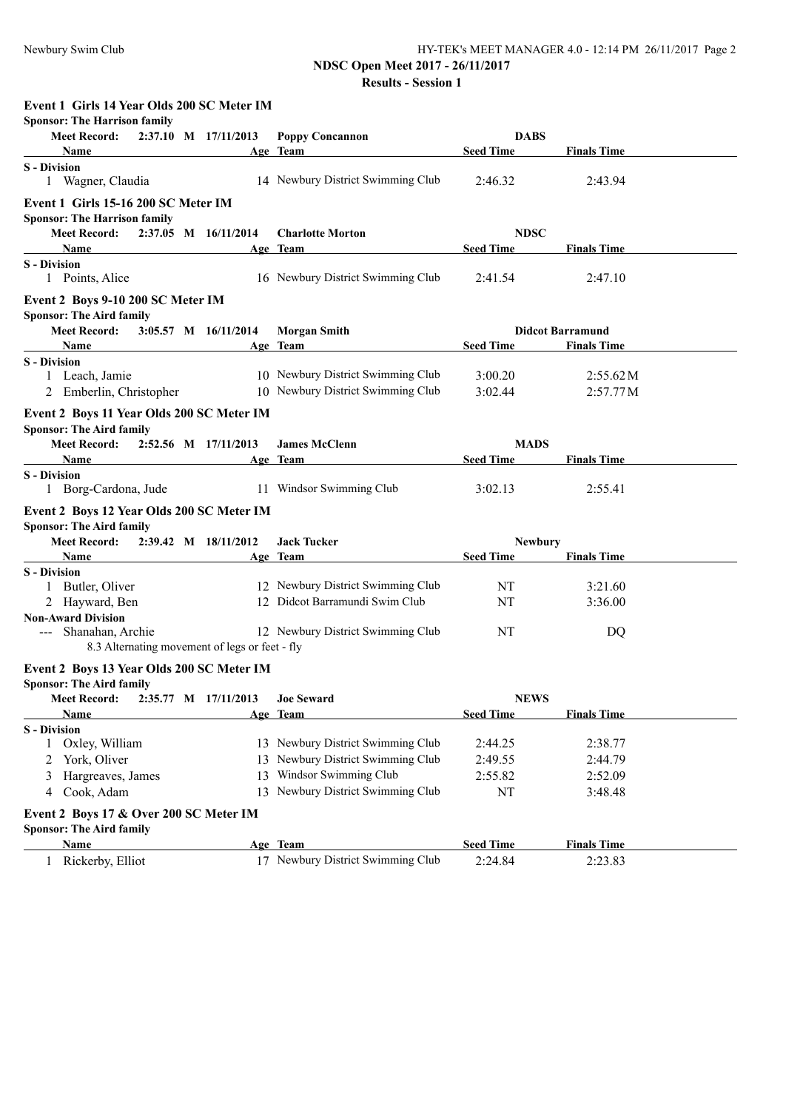# **NDSC Open Meet 2017 - 26/11/2017**

|                                                                                                                                                                                                                                                                                                                                                    | 13D9C Open Meet 2017 - 20/11/2017<br><b>Results - Session 1</b>        |                                 |                                               |
|----------------------------------------------------------------------------------------------------------------------------------------------------------------------------------------------------------------------------------------------------------------------------------------------------------------------------------------------------|------------------------------------------------------------------------|---------------------------------|-----------------------------------------------|
| Event 1 Girls 14 Year Olds 200 SC Meter IM<br><b>Sponsor: The Harrison family</b><br>Meet Record: 2:37.10 M 17/11/2013<br><b>Name</b>                                                                                                                                                                                                              | <b>Poppy Concannon</b><br>Age Team                                     | <b>DABS</b><br><b>Seed Time</b> | <b>Finals Time</b>                            |
| <b>S</b> - Division<br>1 Wagner, Claudia                                                                                                                                                                                                                                                                                                           | 14 Newbury District Swimming Club                                      | 2:46.32                         | 2:43.94                                       |
| Event 1 Girls 15-16 200 SC Meter IM<br><b>Sponsor: The Harrison family</b><br>Meet Record: 2:37.05 M 16/11/2014                                                                                                                                                                                                                                    | <b>Charlotte Morton</b>                                                | <b>NDSC</b><br><b>Seed Time</b> |                                               |
| <b>Name</b><br><b>S</b> - Division<br>1 Points, Alice                                                                                                                                                                                                                                                                                              | Age Team<br>16 Newbury District Swimming Club                          | 2:41.54                         | <b>Finals Time</b><br>2:47.10                 |
| Event 2 Boys 9-10 200 SC Meter IM<br><b>Sponsor: The Aird family</b><br><b>Meet Record:</b><br>3:05.57 M 16/11/2014<br><b>Name</b><br>the control of the control of the control of the control of the control of                                                                                                                                   | <b>Morgan Smith</b><br>Age Team                                        | <b>Seed Time</b>                | <b>Didcot Barramund</b><br><b>Finals Time</b> |
| <b>S</b> - Division<br>1 Leach, Jamie<br>2 Emberlin, Christopher                                                                                                                                                                                                                                                                                   | 10 Newbury District Swimming Club<br>10 Newbury District Swimming Club | 3:00.20<br>3:02.44              | 2:55.62M<br>2:57.77M                          |
| Event 2 Boys 11 Year Olds 200 SC Meter IM<br><b>Sponsor: The Aird family</b><br>Meet Record: 2:52.56 M 17/11/2013<br>Name                                                                                                                                                                                                                          | <b>James McClenn</b><br>Age Team                                       | <b>MADS</b><br><b>Seed Time</b> | <b>Finals Time</b>                            |
| <b>S</b> - Division<br>1 Borg-Cardona, Jude                                                                                                                                                                                                                                                                                                        | 11 Windsor Swimming Club                                               | 3:02.13                         | 2:55.41                                       |
| Event 2 Boys 12 Year Olds 200 SC Meter IM<br><b>Sponsor: The Aird family</b><br>Meet Record: 2:39.42 M 18/11/2012<br>Name and the same state of the same state of the same state of the same state of the same state of the same state of the same state of the same state of the same state of the same state of the same state of the same state | <b>Jack Tucker</b><br>Age Team                                         | <b>Newbury</b><br>Seed Time     | <b>Finals Time</b>                            |
| <b>S</b> - Division                                                                                                                                                                                                                                                                                                                                |                                                                        |                                 |                                               |
| 1 Butler, Oliver<br>2 Hayward, Ben                                                                                                                                                                                                                                                                                                                 | 12 Newbury District Swimming Club<br>12 Didcot Barramundi Swim Club    | NT<br>NT                        | 3:21.60<br>3:36.00                            |
| <b>Non-Award Division</b><br>--- Shanahan, Archie<br>8.3 Alternating movement of legs or feet - fly                                                                                                                                                                                                                                                | 12 Newbury District Swimming Club                                      | NT                              | DQ                                            |
| Event 2 Boys 13 Year Olds 200 SC Meter IM<br><b>Sponsor: The Aird family</b>                                                                                                                                                                                                                                                                       |                                                                        |                                 |                                               |
| <b>Meet Record:</b><br>2:35.77 M 17/11/2013                                                                                                                                                                                                                                                                                                        | <b>Joe Seward</b>                                                      | <b>NEWS</b>                     | <b>Finals Time</b>                            |
| Name<br><b>S</b> - Division                                                                                                                                                                                                                                                                                                                        | Age Team                                                               | <b>Seed Time</b>                |                                               |
| Oxley, William                                                                                                                                                                                                                                                                                                                                     | 13 Newbury District Swimming Club                                      | 2:44.25                         | 2:38.77                                       |
| York, Oliver<br>2                                                                                                                                                                                                                                                                                                                                  | 13 Newbury District Swimming Club                                      | 2:49.55                         | 2:44.79                                       |
| Hargreaves, James                                                                                                                                                                                                                                                                                                                                  | 13 Windsor Swimming Club                                               | 2:55.82                         | 2:52.09                                       |
| Cook, Adam<br>4                                                                                                                                                                                                                                                                                                                                    | 13 Newbury District Swimming Club                                      | NT                              | 3:48.48                                       |
| Event 2 Boys 17 & Over 200 SC Meter IM                                                                                                                                                                                                                                                                                                             |                                                                        |                                 |                                               |
| <b>Sponsor: The Aird family</b><br>Name                                                                                                                                                                                                                                                                                                            | Age Team                                                               | <b>Seed Time</b>                | <b>Finals Time</b>                            |
| Rickerby, Elliot<br>1                                                                                                                                                                                                                                                                                                                              | 17 Newbury District Swimming Club                                      | 2:24.84                         | 2:23.83                                       |
|                                                                                                                                                                                                                                                                                                                                                    |                                                                        |                                 |                                               |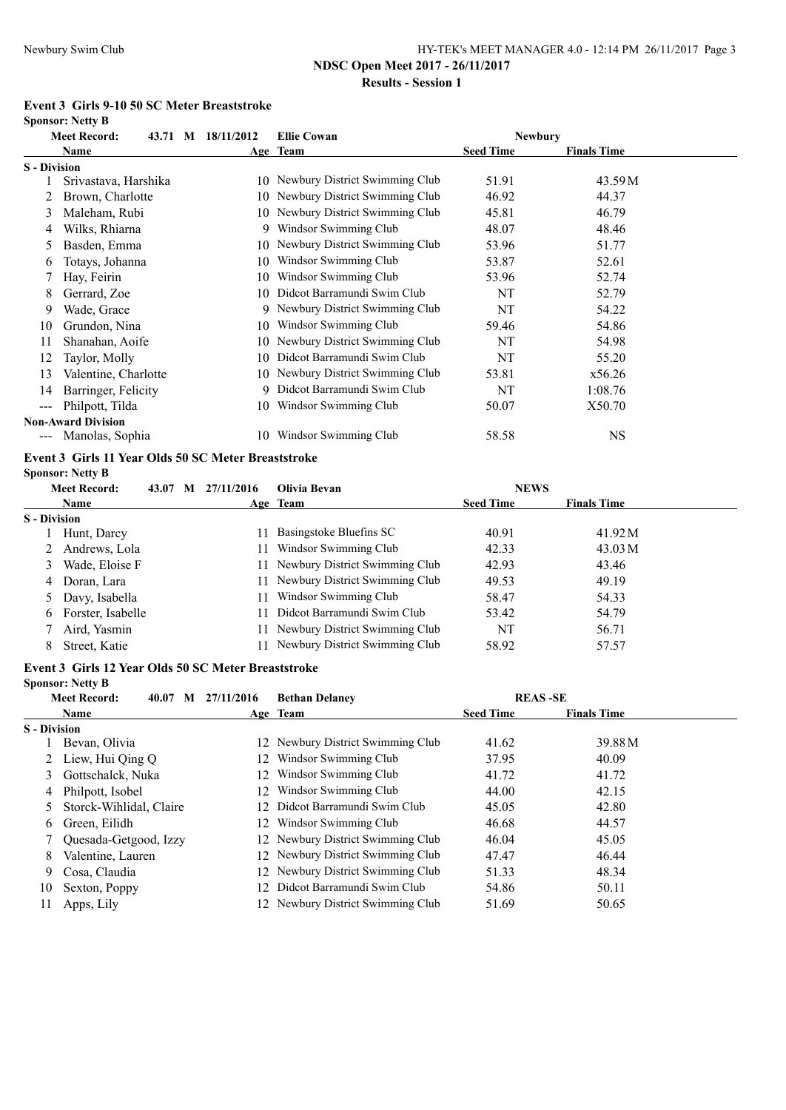**Results - Session 1**

# **Event 3 Girls 9-10 50 SC Meter Breaststroke**

**Sponsor: Netty B**

|                     | <b>Meet Record:</b>       | 43.71 M | 18/11/2012 | <b>Ellie Cowan</b>                | <b>Newbury</b>   |                    |  |
|---------------------|---------------------------|---------|------------|-----------------------------------|------------------|--------------------|--|
|                     | Name                      |         |            | Age Team                          | <b>Seed Time</b> | <b>Finals Time</b> |  |
| <b>S</b> - Division |                           |         |            |                                   |                  |                    |  |
|                     | Srivastava, Harshika      |         | 10.        | Newbury District Swimming Club    | 51.91            | 43.59M             |  |
|                     | Brown, Charlotte          |         |            | 10 Newbury District Swimming Club | 46.92            | 44.37              |  |
| 3                   | Maleham, Rubi             |         |            | 10 Newbury District Swimming Club | 45.81            | 46.79              |  |
| 4                   | Wilks, Rhiarna            |         | 9.         | Windsor Swimming Club             | 48.07            | 48.46              |  |
| 5                   | Basden, Emma              |         | 10         | Newbury District Swimming Club    | 53.96            | 51.77              |  |
| 6                   | Totays, Johanna           |         | 10         | Windsor Swimming Club             | 53.87            | 52.61              |  |
|                     | Hay, Feirin               |         | 10         | Windsor Swimming Club             | 53.96            | 52.74              |  |
| 8                   | Gerrard, Zoe              |         | 10         | Didcot Barramundi Swim Club       | NT               | 52.79              |  |
| 9                   | Wade, Grace               |         | 9.         | Newbury District Swimming Club    | NT               | 54.22              |  |
| 10                  | Grundon, Nina             |         | 10         | Windsor Swimming Club             | 59.46            | 54.86              |  |
| 11                  | Shanahan, Aoife           |         | 10         | Newbury District Swimming Club    | NT               | 54.98              |  |
| 12                  | Taylor, Molly             |         | 10         | Didcot Barramundi Swim Club       | NT               | 55.20              |  |
| 13                  | Valentine, Charlotte      |         |            | 10 Newbury District Swimming Club | 53.81            | x56.26             |  |
| 14                  | Barringer, Felicity       |         | 9          | Didcot Barramundi Swim Club       | NT               | 1:08.76            |  |
| $---$               | Philpott, Tilda           |         | 10         | Windsor Swimming Club             | 50.07            | X50.70             |  |
|                     | <b>Non-Award Division</b> |         |            |                                   |                  |                    |  |
| $\qquad \qquad - -$ | Manolas, Sophia           |         | 10         | Windsor Swimming Club             | 58.58            | NS.                |  |

# **Event 3 Girls 11 Year Olds 50 SC Meter Breaststroke**

**Sponsor: Netty B**

|                     | <b>Meet Record:</b> | 43.07 M | 27/11/2016 | Olivia Bevan                      | <b>NEWS</b>      |                    |  |
|---------------------|---------------------|---------|------------|-----------------------------------|------------------|--------------------|--|
|                     | Name                |         |            | Age Team                          | <b>Seed Time</b> | <b>Finals Time</b> |  |
| <b>S</b> - Division |                     |         |            |                                   |                  |                    |  |
|                     | Hunt, Darcy         |         | 11.        | Basingstoke Bluefins SC           | 40.91            | 41.92 M            |  |
|                     | Andrews, Lola       |         | 11.        | Windsor Swimming Club             | 42.33            | 43.03 M            |  |
| 3                   | Wade, Eloise F      |         |            | 11 Newbury District Swimming Club | 42.93            | 43.46              |  |
| 4                   | Doran, Lara         |         |            | 11 Newbury District Swimming Club | 49.53            | 49.19              |  |
|                     | 5 Davy, Isabella    |         |            | Windsor Swimming Club             | 58.47            | 54.33              |  |
| 6                   | Forster, Isabelle   |         |            | 11 Didcot Barramundi Swim Club    | 53.42            | 54.79              |  |
|                     | Aird, Yasmin        |         |            | 11 Newbury District Swimming Club | NT               | 56.71              |  |
| 8                   | Street, Katie       |         |            | 11 Newbury District Swimming Club | 58.92            | 57.57              |  |
|                     |                     |         |            |                                   |                  |                    |  |

# **Event 3 Girls 12 Year Olds 50 SC Meter Breaststroke**

**Sponsor: Netty B**

|                     | <b>Meet Record:</b>     | 40.07 | M | 27/11/2016 | <b>Bethan Delaney</b>             | <b>REAS-SE</b>   |                    |  |
|---------------------|-------------------------|-------|---|------------|-----------------------------------|------------------|--------------------|--|
|                     | Name                    |       |   |            | Age Team                          | <b>Seed Time</b> | <b>Finals Time</b> |  |
| <b>S</b> - Division |                         |       |   |            |                                   |                  |                    |  |
|                     | Bevan, Olivia           |       |   |            | 12 Newbury District Swimming Club | 41.62            | 39.88 M            |  |
|                     | Liew, Hui Oing O        |       |   | 12.        | Windsor Swimming Club             | 37.95            | 40.09              |  |
|                     | Gottschalck, Nuka       |       |   |            | 12 Windsor Swimming Club          | 41.72            | 41.72              |  |
| 4                   | Philpott, Isobel        |       |   | 12         | Windsor Swimming Club             | 44.00            | 42.15              |  |
|                     | Storck-Wihlidal, Claire |       |   |            | 12 Didcot Barramundi Swim Club    | 45.05            | 42.80              |  |
| 6.                  | Green, Eilidh           |       |   |            | 12 Windsor Swimming Club          | 46.68            | 44.57              |  |
|                     | Quesada-Getgood, Izzy   |       |   |            | 12 Newbury District Swimming Club | 46.04            | 45.05              |  |
| 8                   | Valentine, Lauren       |       |   |            | 12 Newbury District Swimming Club | 47.47            | 46.44              |  |
| 9                   | Cosa, Claudia           |       |   |            | 12 Newbury District Swimming Club | 51.33            | 48.34              |  |
| 10                  | Sexton, Poppy           |       |   |            | 12 Didcot Barramundi Swim Club    | 54.86            | 50.11              |  |
| 11                  | Apps, Lily              |       |   |            | 12 Newbury District Swimming Club | 51.69            | 50.65              |  |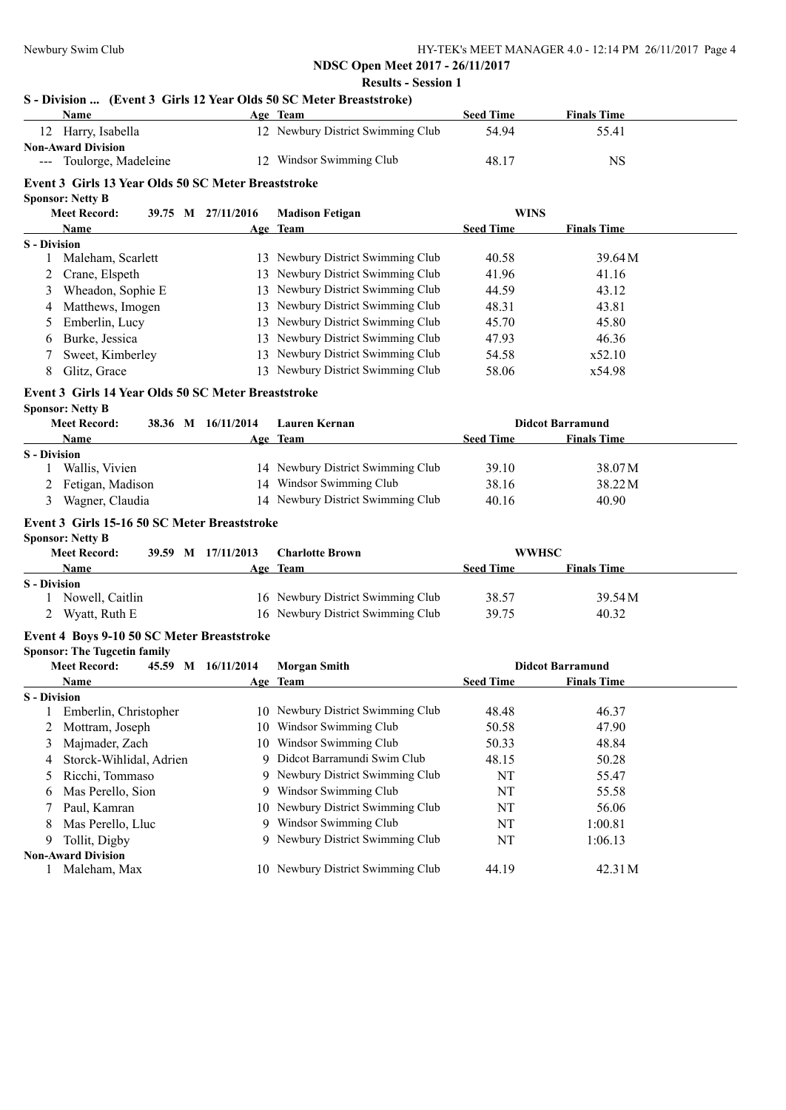**S - Division ... (Event 3 Girls 12 Year Olds 50 SC Meter Breaststroke)**

# **NDSC Open Meet 2017 - 26/11/2017 Results - Session 1**

|                     | <b>Name</b>                                         |  |  |                    | Age Team                          | <b>Seed Time</b> | <b>Finals Time</b>      |  |
|---------------------|-----------------------------------------------------|--|--|--------------------|-----------------------------------|------------------|-------------------------|--|
|                     | 12 Harry, Isabella                                  |  |  |                    | 12 Newbury District Swimming Club | 54.94            | 55.41                   |  |
|                     | <b>Non-Award Division</b>                           |  |  |                    |                                   |                  |                         |  |
|                     | --- Toulorge, Madeleine                             |  |  |                    | 12 Windsor Swimming Club          | 48.17            | <b>NS</b>               |  |
|                     | Event 3 Girls 13 Year Olds 50 SC Meter Breaststroke |  |  |                    |                                   |                  |                         |  |
|                     | <b>Sponsor: Netty B</b>                             |  |  |                    |                                   |                  |                         |  |
|                     | <b>Meet Record:</b>                                 |  |  | 39.75 M 27/11/2016 | <b>Madison Fetigan</b>            | <b>WINS</b>      |                         |  |
|                     | Name                                                |  |  |                    | Age Team                          | <b>Seed Time</b> | <b>Finals Time</b>      |  |
| <b>S</b> - Division |                                                     |  |  |                    |                                   |                  |                         |  |
| 1                   | Maleham, Scarlett                                   |  |  |                    | 13 Newbury District Swimming Club | 40.58            | 39.64 M                 |  |
| 2                   | Crane, Elspeth                                      |  |  |                    | 13 Newbury District Swimming Club | 41.96            | 41.16                   |  |
| 3                   | Wheadon, Sophie E                                   |  |  |                    | 13 Newbury District Swimming Club | 44.59            | 43.12                   |  |
| 4                   | Matthews, Imogen                                    |  |  |                    | 13 Newbury District Swimming Club | 48.31            | 43.81                   |  |
| $\mathcal{L}$       | Emberlin, Lucy                                      |  |  |                    | 13 Newbury District Swimming Club | 45.70            | 45.80                   |  |
| 6                   | Burke, Jessica                                      |  |  |                    | 13 Newbury District Swimming Club | 47.93            | 46.36                   |  |
| 7                   | Sweet, Kimberley                                    |  |  |                    | 13 Newbury District Swimming Club | 54.58            | x52.10                  |  |
| 8                   | Glitz, Grace                                        |  |  |                    | 13 Newbury District Swimming Club | 58.06            | x54.98                  |  |
|                     |                                                     |  |  |                    |                                   |                  |                         |  |
|                     | Event 3 Girls 14 Year Olds 50 SC Meter Breaststroke |  |  |                    |                                   |                  |                         |  |
|                     | <b>Sponsor: Netty B</b>                             |  |  |                    |                                   |                  |                         |  |
|                     | <b>Meet Record:</b>                                 |  |  | 38.36 M 16/11/2014 | <b>Lauren Kernan</b>              |                  | <b>Didcot Barramund</b> |  |
|                     | Name                                                |  |  |                    | Age Team                          | <b>Seed Time</b> | <b>Finals Time</b>      |  |
| <b>S</b> - Division | Wallis, Vivien                                      |  |  |                    | 14 Newbury District Swimming Club | 39.10            | 38.07 M                 |  |
|                     | Fetigan, Madison                                    |  |  |                    | 14 Windsor Swimming Club          | 38.16            | 38.22 M                 |  |
|                     | Wagner, Claudia                                     |  |  |                    | 14 Newbury District Swimming Club | 40.16            | 40.90                   |  |
| 3                   |                                                     |  |  |                    |                                   |                  |                         |  |
|                     | Event 3 Girls 15-16 50 SC Meter Breaststroke        |  |  |                    |                                   |                  |                         |  |
|                     | <b>Sponsor: Netty B</b>                             |  |  |                    |                                   |                  |                         |  |
|                     | <b>Meet Record:</b>                                 |  |  | 39.59 M 17/11/2013 | <b>Charlotte Brown</b>            | <b>WWHSC</b>     |                         |  |
|                     | Name                                                |  |  |                    | Age Team                          | <b>Seed Time</b> | <b>Finals Time</b>      |  |
| <b>S</b> - Division |                                                     |  |  |                    |                                   |                  |                         |  |
|                     | 1 Nowell, Caitlin                                   |  |  |                    | 16 Newbury District Swimming Club | 38.57            | 39.54 M                 |  |
|                     | 2 Wyatt, Ruth E                                     |  |  |                    | 16 Newbury District Swimming Club | 39.75            | 40.32                   |  |
|                     | Event 4 Boys 9-10 50 SC Meter Breaststroke          |  |  |                    |                                   |                  |                         |  |
|                     | <b>Sponsor: The Tugcetin family</b>                 |  |  |                    |                                   |                  |                         |  |
|                     | <b>Meet Record:</b>                                 |  |  | 45.59 M 16/11/2014 | <b>Morgan Smith</b>               |                  | <b>Didcot Barramund</b> |  |
|                     | Name                                                |  |  |                    | Age Team                          | <b>Seed Time</b> | <b>Finals Time</b>      |  |
| <b>S</b> - Division |                                                     |  |  |                    |                                   |                  |                         |  |
|                     | Emberlin, Christopher                               |  |  |                    | 10 Newbury District Swimming Club | 48.48            | 46.37                   |  |
| 2                   | Mottram, Joseph                                     |  |  | 10                 | Windsor Swimming Club             | 50.58            | 47.90                   |  |
| 3                   | Majmader, Zach                                      |  |  | 10                 | Windsor Swimming Club             | 50.33            | 48.84                   |  |
| 4                   | Storck-Wihlidal, Adrien                             |  |  | 9                  | Didcot Barramundi Swim Club       | 48.15            | 50.28                   |  |
| 5                   | Ricchi, Tommaso                                     |  |  |                    | 9 Newbury District Swimming Club  | NT               | 55.47                   |  |
| 6                   | Mas Perello, Sion                                   |  |  | 9                  | Windsor Swimming Club             | NT               | 55.58                   |  |
| 7                   | Paul, Kamran                                        |  |  |                    | 10 Newbury District Swimming Club | NT               | 56.06                   |  |
| 8                   | Mas Perello, Lluc                                   |  |  |                    | 9 Windsor Swimming Club           | NT               | 1:00.81                 |  |
| 9                   | Tollit, Digby                                       |  |  |                    | 9 Newbury District Swimming Club  | NT               | 1:06.13                 |  |
|                     | <b>Non-Award Division</b>                           |  |  |                    |                                   |                  |                         |  |
| 1                   | Maleham, Max                                        |  |  |                    | 10 Newbury District Swimming Club | 44.19            | 42.31 M                 |  |
|                     |                                                     |  |  |                    |                                   |                  |                         |  |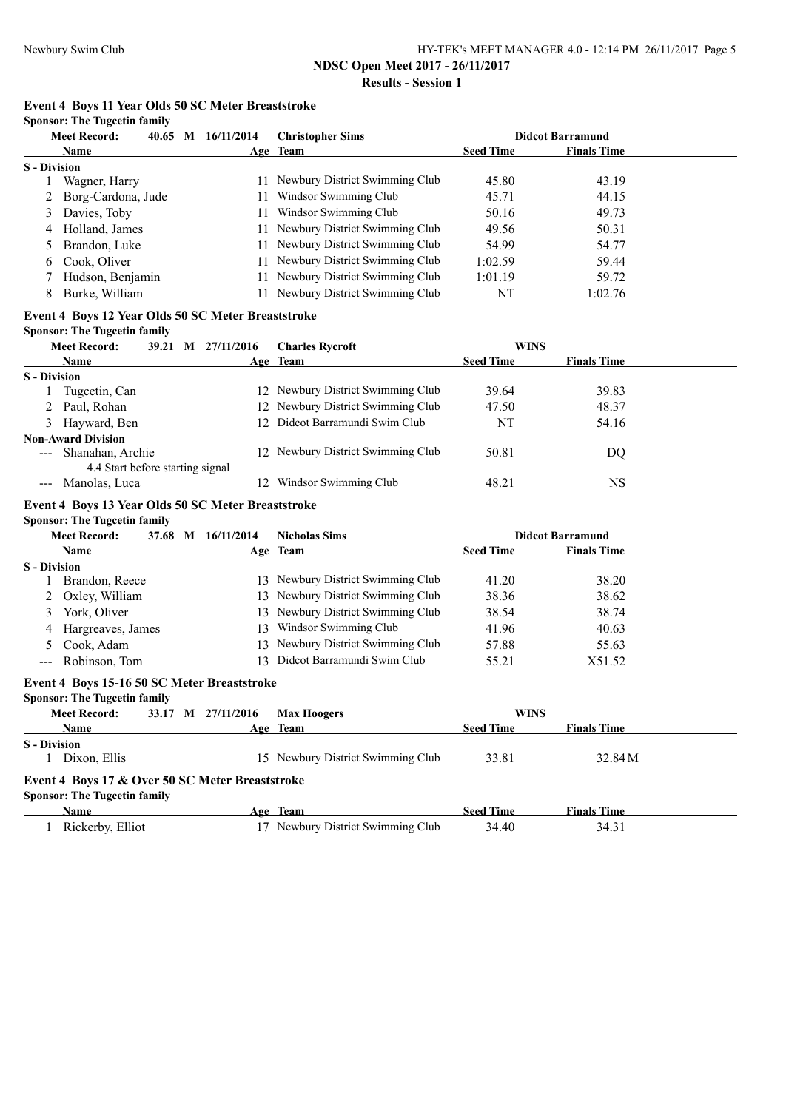# **NDSC Open Meet 2017 - 26/11/2017**

**Results - Session 1**

# **Event 4 Boys 11 Year Olds 50 SC Meter Breaststroke**

**Sponsor: The Tugcetin family**

|                     | <b>Meet Record:</b> | $40.65$ M | 16/11/2014 | <b>Christopher Sims</b>           |                  | <b>Didcot Barramund</b> |  |
|---------------------|---------------------|-----------|------------|-----------------------------------|------------------|-------------------------|--|
|                     | <b>Name</b>         |           |            | Age Team                          | <b>Seed Time</b> | <b>Finals Time</b>      |  |
| <b>S</b> - Division |                     |           |            |                                   |                  |                         |  |
|                     | Wagner, Harry       |           |            | 11 Newbury District Swimming Club | 45.80            | 43.19                   |  |
|                     | Borg-Cardona, Jude  |           |            | Windsor Swimming Club             | 45.71            | 44.15                   |  |
| 3                   | Davies, Toby        |           |            | Windsor Swimming Club             | 50.16            | 49.73                   |  |
| 4                   | Holland, James      |           |            | 11 Newbury District Swimming Club | 49.56            | 50.31                   |  |
|                     | Brandon, Luke       |           |            | 11 Newbury District Swimming Club | 54.99            | 54.77                   |  |
| 6.                  | Cook. Oliver        |           |            | 11 Newbury District Swimming Club | 1:02.59          | 59.44                   |  |
|                     | Hudson, Benjamin    |           |            | 11 Newbury District Swimming Club | 1:01.19          | 59.72                   |  |
| 8                   | Burke, William      |           |            | Newbury District Swimming Club    | NT               | 1:02.76                 |  |

# **Event 4 Boys 12 Year Olds 50 SC Meter Breaststroke**

#### **Sponsor: The Tugcetin family**

|                     | <b>Meet Record:</b>              | 39.21 M 27/11/2016 | <b>Charles Rycroft</b>            | <b>WINS</b>      |                    |  |
|---------------------|----------------------------------|--------------------|-----------------------------------|------------------|--------------------|--|
|                     | <b>Name</b>                      |                    | Age Team                          | <b>Seed Time</b> | <b>Finals Time</b> |  |
| <b>S</b> - Division |                                  |                    |                                   |                  |                    |  |
|                     | Tugcetin, Can                    |                    | 12 Newbury District Swimming Club | 39.64            | 39.83              |  |
|                     | 2 Paul, Rohan                    |                    | 12 Newbury District Swimming Club | 47.50            | 48.37              |  |
|                     | 3 Hayward, Ben                   |                    | 12 Didcot Barramundi Swim Club    | NT               | 54.16              |  |
|                     | <b>Non-Award Division</b>        |                    |                                   |                  |                    |  |
|                     | --- Shanahan, Archie             |                    | 12 Newbury District Swimming Club | 50.81            | DO                 |  |
|                     | 4.4 Start before starting signal |                    |                                   |                  |                    |  |
|                     | Manolas, Luca                    | 12                 | Windsor Swimming Club             | 48.21            | <b>NS</b>          |  |

#### **Event 4 Boys 13 Year Olds 50 SC Meter Breaststroke**

**Sponsor: The Tugcetin family**

|                     | <b>Meet Record:</b> | 37.68 M | 16/11/2014 | <b>Nicholas Sims</b>              |                  | <b>Didcot Barramund</b> |  |
|---------------------|---------------------|---------|------------|-----------------------------------|------------------|-------------------------|--|
|                     | <b>Name</b>         |         |            | Age Team                          | <b>Seed Time</b> | <b>Finals Time</b>      |  |
| <b>S</b> - Division |                     |         |            |                                   |                  |                         |  |
|                     | Brandon, Reece      |         |            | 13 Newbury District Swimming Club | 41.20            | 38.20                   |  |
|                     | 2 Oxley, William    |         |            | 13 Newbury District Swimming Club | 38.36            | 38.62                   |  |
| 3                   | York, Oliver        |         |            | 13 Newbury District Swimming Club | 38.54            | 38.74                   |  |
|                     | 4 Hargreaves, James |         | 13.        | Windsor Swimming Club             | 41.96            | 40.63                   |  |
|                     | 5 Cook, Adam        |         |            | 13 Newbury District Swimming Club | 57.88            | 55.63                   |  |
|                     | --- Robinson, Tom   |         |            | 13 Didcot Barramundi Swim Club    | 55.21            | X51.52                  |  |

#### **Event 4 Boys 15-16 50 SC Meter Breaststroke Sponsor: The Tugcetin family**

| <b>Meet Record:</b> |                                                 | 33.17 M 27/11/2016 | <b>Max Hoogers</b>                | <b>WINS</b>      |                    |  |
|---------------------|-------------------------------------------------|--------------------|-----------------------------------|------------------|--------------------|--|
| <b>Name</b>         |                                                 |                    | Age Team                          | <b>Seed Time</b> | <b>Finals Time</b> |  |
| <b>S</b> - Division |                                                 |                    |                                   |                  |                    |  |
|                     | Dixon, Ellis                                    |                    | 15 Newbury District Swimming Club | 33.81            | 32.84 M            |  |
|                     | Event 4 Boys 17 & Over 50 SC Meter Breaststroke |                    |                                   |                  |                    |  |
|                     | <b>Sponsor: The Tugcetin family</b>             |                    |                                   |                  |                    |  |
| Name                |                                                 |                    | Age Team                          | <b>Seed Time</b> | <b>Finals Time</b> |  |
|                     | Rickerby, Elliot                                | 17                 | Newbury District Swimming Club    | 34.40            | 34.31              |  |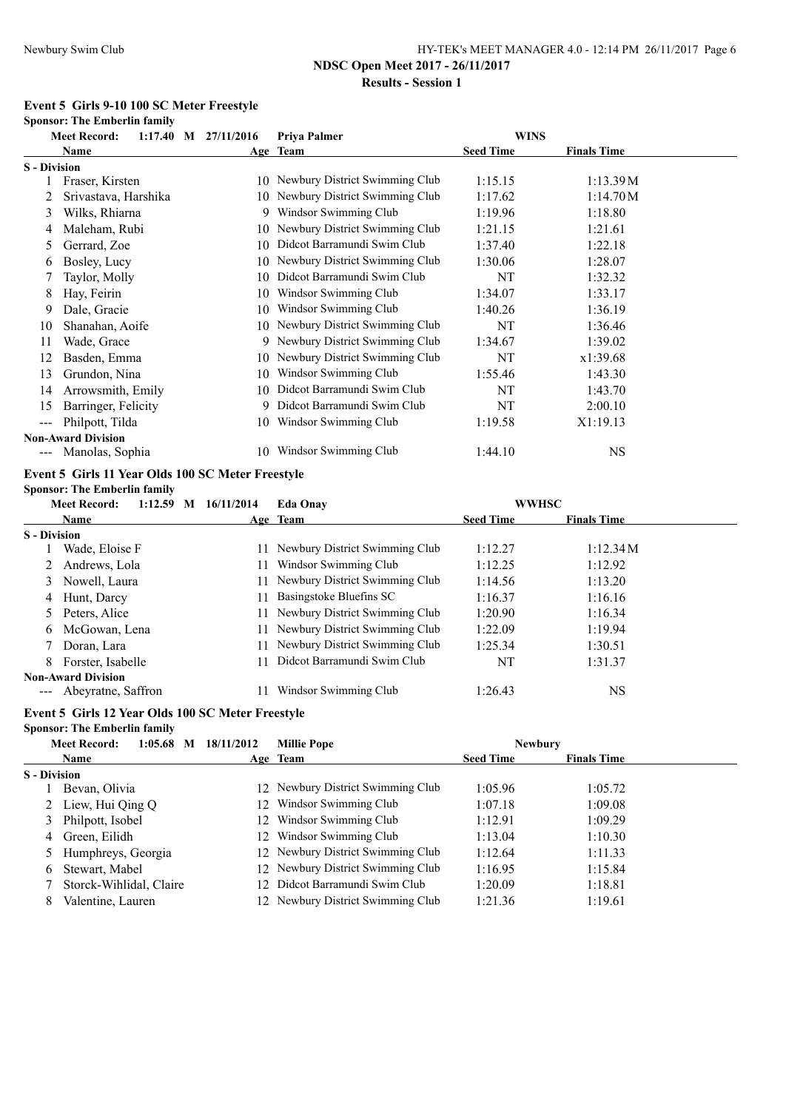# **Event 5 Girls 9-10 100 SC Meter Freestyle**

|                     | <b>Sponsor: The Emberlin family</b> |  |                                                   |                                   |                                    |                    |  |
|---------------------|-------------------------------------|--|---------------------------------------------------|-----------------------------------|------------------------------------|--------------------|--|
|                     | <b>Meet Record:</b>                 |  | $1:17.40$ M $27/11/2016$                          | Priya Palmer                      | <b>WINS</b>                        |                    |  |
|                     | Name                                |  |                                                   | Age Team                          | <b>Seed Time</b>                   | <b>Finals Time</b> |  |
| <b>S</b> - Division |                                     |  |                                                   |                                   |                                    |                    |  |
| 1                   | Fraser, Kirsten                     |  |                                                   | 10 Newbury District Swimming Club | 1:15.15                            | 1:13.39M           |  |
| 2                   | Srivastava, Harshika                |  |                                                   | 10 Newbury District Swimming Club | 1:17.62                            | 1:14.70 M          |  |
| 3                   | Wilks, Rhiarna                      |  |                                                   | 9 Windsor Swimming Club           | 1:19.96                            | 1:18.80            |  |
| 4                   | Maleham, Rubi                       |  |                                                   | 10 Newbury District Swimming Club | 1:21.15                            | 1:21.61            |  |
| 5                   | Gerrard, Zoe                        |  |                                                   | 10 Didcot Barramundi Swim Club    | 1:37.40                            | 1:22.18            |  |
| 6                   | Bosley, Lucy                        |  |                                                   | 10 Newbury District Swimming Club | 1:30.06                            | 1:28.07            |  |
| 7                   | Taylor, Molly                       |  |                                                   | 10 Didcot Barramundi Swim Club    | NT                                 | 1:32.32            |  |
| 8                   | Hay, Feirin                         |  |                                                   | 10 Windsor Swimming Club          | 1:34.07                            | 1:33.17            |  |
| 9                   | Dale, Gracie                        |  |                                                   | 10 Windsor Swimming Club          | 1:40.26                            | 1:36.19            |  |
| 10                  | Shanahan, Aoife                     |  |                                                   | 10 Newbury District Swimming Club | NT                                 | 1:36.46            |  |
| 11                  | Wade, Grace                         |  |                                                   | 9 Newbury District Swimming Club  | 1:34.67                            | 1:39.02            |  |
| 12                  | Basden, Emma                        |  |                                                   | 10 Newbury District Swimming Club | NT                                 | x1:39.68           |  |
| 13                  | Grundon, Nina                       |  |                                                   | 10 Windsor Swimming Club          | 1:55.46                            | 1:43.30            |  |
| 14                  | Arrowsmith, Emily                   |  |                                                   | 10 Didcot Barramundi Swim Club    | NT                                 | 1:43.70            |  |
| 15                  | Barringer, Felicity                 |  |                                                   | 9 Didcot Barramundi Swim Club     | NT                                 | 2:00.10            |  |
| $---$               | Philpott, Tilda                     |  |                                                   | 10 Windsor Swimming Club          | 1:19.58                            | X1:19.13           |  |
|                     | <b>Non-Award Division</b>           |  |                                                   |                                   |                                    |                    |  |
|                     | --- Manolas, Sophia                 |  |                                                   | 10 Windsor Swimming Club          | 1:44.10                            | <b>NS</b>          |  |
|                     |                                     |  | Event 5 Girls 11 Year Olds 100 SC Meter Freestyle |                                   |                                    |                    |  |
|                     | <b>Sponsor: The Emberlin family</b> |  |                                                   |                                   |                                    |                    |  |
|                     | <b>Meet Record:</b>                 |  | 1:12.59 M 16/11/2014                              | <b>Eda Onay</b>                   | <b>WWHSC</b>                       |                    |  |
|                     | <b>Name</b>                         |  |                                                   | <u>Age Team</u>                   | <b>Seed Time</b>                   | <b>Finals Time</b> |  |
| <b>S</b> - Division |                                     |  |                                                   |                                   |                                    |                    |  |
| 1                   | Wade, Eloise F                      |  |                                                   | 11 Newbury District Swimming Club | 1:12.27                            | 1:12.34M           |  |
| 2                   | Andrews, Lola                       |  |                                                   | 11 Windsor Swimming Club          | 1:12.25                            | 1:12.92            |  |
| 3                   | Nowell, Laura                       |  |                                                   | 11 Newbury District Swimming Club | 1:14.56                            | 1:13.20            |  |
| 4                   | Hunt, Darcy                         |  | 11                                                | Basingstoke Bluefins SC           | 1:16.37                            | 1:16.16            |  |
| 5                   | Peters, Alice                       |  | 11                                                | Newbury District Swimming Club    | 1:20.90                            | 1:16.34            |  |
| 6                   | McGowan, Lena                       |  |                                                   | 11 Newbury District Swimming Club | 1:22.09                            | 1:19.94            |  |
| 7                   | Doran, Lara                         |  | 11                                                | Newbury District Swimming Club    | 1:25.34                            | 1:30.51            |  |
| 8                   | Forster, Isabelle                   |  | 11                                                | Didcot Barramundi Swim Club       | NT                                 | 1:31.37            |  |
|                     | <b>Non-Award Division</b>           |  |                                                   |                                   |                                    |                    |  |
|                     | Abeyratne, Saffron                  |  |                                                   | 11 Windsor Swimming Club          | 1:26.43                            | <b>NS</b>          |  |
|                     |                                     |  | Event 5 Girls 12 Year Olds 100 SC Meter Freestyle |                                   |                                    |                    |  |
|                     | <b>Sponsor: The Emberlin family</b> |  |                                                   |                                   |                                    |                    |  |
|                     | <b>Meet Record:</b><br><b>BT</b>    |  | $1:05.68$ M $18/11/2012$                          | <b>Millie Pope</b>                | <b>Newbury</b><br>$\alpha = 1.702$ | ю. н. пр.          |  |

|                     | <b>Name</b>             |                 | Age Team                          | <b>Seed Time</b> | <b>Finals Time</b> |  |
|---------------------|-------------------------|-----------------|-----------------------------------|------------------|--------------------|--|
| <b>S</b> - Division |                         |                 |                                   |                  |                    |  |
|                     | Bevan, Olivia           |                 | 12 Newbury District Swimming Club | 1:05.96          | 1:05.72            |  |
|                     | 2 Liew, Hui Qing Q      |                 | 12 Windsor Swimming Club          | 1:07.18          | 1:09.08            |  |
|                     | 3 Philpott, Isobel      | 12.             | Windsor Swimming Club             | 1:12.91          | 1:09.29            |  |
|                     | 4 Green, Eilidh         | 12 <sup>1</sup> | Windsor Swimming Club             | 1:13.04          | 1:10.30            |  |
|                     | 5 Humphreys, Georgia    |                 | 12 Newbury District Swimming Club | 1:12.64          | 1:11.33            |  |
| 6                   | Stewart, Mabel          |                 | 12 Newbury District Swimming Club | 1:16.95          | 1:15.84            |  |
|                     | Storck-Wihlidal, Claire |                 | 12 Didcot Barramundi Swim Club    | 1:20.09          | 1:18.81            |  |
|                     | Valentine, Lauren       |                 | 12 Newbury District Swimming Club | 1:21.36          | 1:19.61            |  |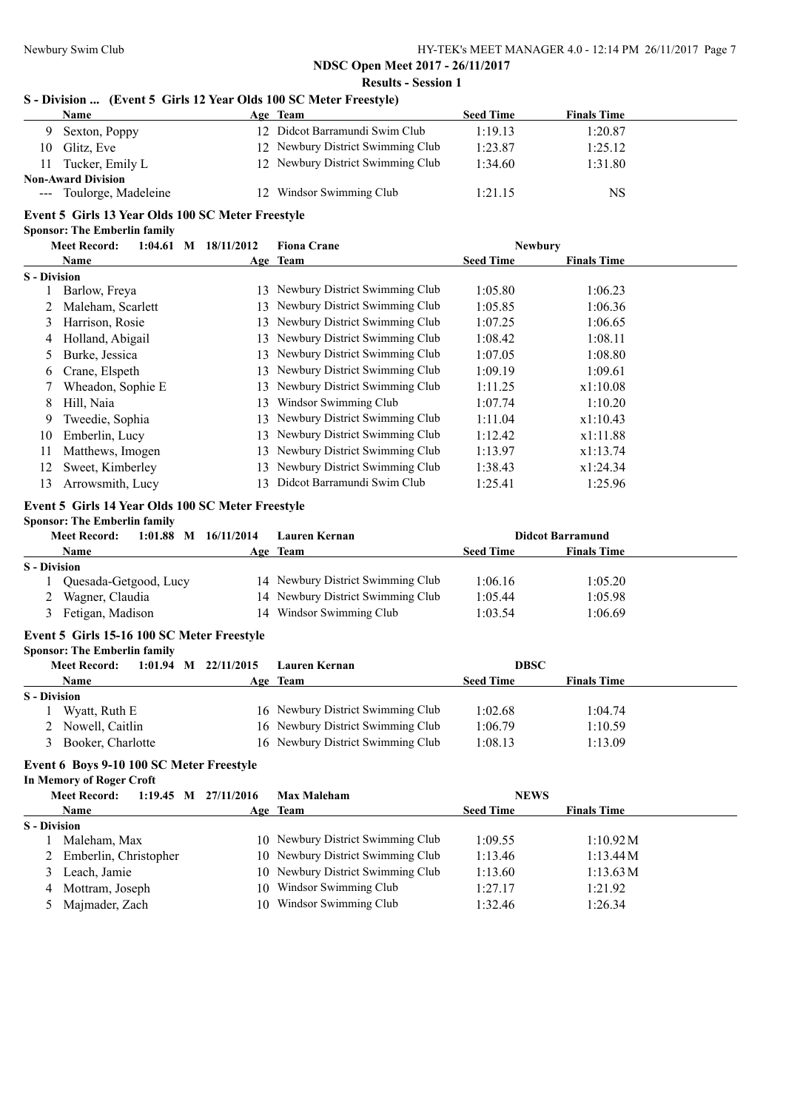# **NDSC Open Meet 2017 - 26/11/2017 Results - Session 1**

# **S - Division ... (Event 5 Girls 12 Year Olds 100 SC Meter Freestyle)**

|    | Name                      |  | Age Team                          | <b>Seed Time</b> | <b>Finals Time</b> |  |  |
|----|---------------------------|--|-----------------------------------|------------------|--------------------|--|--|
|    | Sexton, Poppy             |  | 12 Didcot Barramundi Swim Club    | 1:19.13          | 1:20.87            |  |  |
| 10 | Glitz, Eve                |  | 12 Newbury District Swimming Club | 1:23.87          | 1:25.12            |  |  |
| 11 | Tucker, Emily L           |  | 12 Newbury District Swimming Club | 1:34.60          | 1:31.80            |  |  |
|    | <b>Non-Award Division</b> |  |                                   |                  |                    |  |  |
|    | --- Toulorge, Madeleine   |  | 12 Windsor Swimming Club          | 1:21.15          | NS                 |  |  |

#### **Event 5 Girls 13 Year Olds 100 SC Meter Freestyle Sponsor: The Emberlin family**

|                     | $1:04.61$ M<br><b>Meet Record:</b> | 18/11/2012 | <b>Fiona Crane</b>             | <b>Newbury</b>   |                    |  |
|---------------------|------------------------------------|------------|--------------------------------|------------------|--------------------|--|
|                     | Name                               |            | Age Team                       | <b>Seed Time</b> | <b>Finals Time</b> |  |
| <b>S</b> - Division |                                    |            |                                |                  |                    |  |
|                     | Barlow, Freya                      | 13         | Newbury District Swimming Club | 1:05.80          | 1:06.23            |  |
|                     | Maleham, Scarlett                  | 13.        | Newbury District Swimming Club | 1:05.85          | 1:06.36            |  |
| 3                   | Harrison, Rosie                    | 13.        | Newbury District Swimming Club | 1:07.25          | 1:06.65            |  |
| 4                   | Holland, Abigail                   | 13.        | Newbury District Swimming Club | 1:08.42          | 1:08.11            |  |
|                     | Burke, Jessica                     | 13         | Newbury District Swimming Club | 1:07.05          | 1:08.80            |  |
| 6                   | Crane, Elspeth                     | 13         | Newbury District Swimming Club | 1:09.19          | 1:09.61            |  |
|                     | Wheadon, Sophie E                  | 13.        | Newbury District Swimming Club | 1:11.25          | x1:10.08           |  |
| 8                   | Hill, Naia                         | 13         | Windsor Swimming Club          | 1:07.74          | 1:10.20            |  |
| 9                   | Tweedie, Sophia                    | 13.        | Newbury District Swimming Club | 1:11.04          | x1:10.43           |  |
| 10                  | Emberlin, Lucy                     | 13         | Newbury District Swimming Club | 1:12.42          | x1:11.88           |  |
| 11                  | Matthews, Imogen                   | 13.        | Newbury District Swimming Club | 1:13.97          | x1:13.74           |  |
| 12                  | Sweet, Kimberley                   | 13.        | Newbury District Swimming Club | 1:38.43          | x1:24.34           |  |
| 13                  | Arrowsmith, Lucy                   | 13         | Didcot Barramundi Swim Club    | 1:25.41          | 1:25.96            |  |

#### **Event 5 Girls 14 Year Olds 100 SC Meter Freestyle**

#### **Sponsor: The Emberlin family**

|                     | $1:01.88$ M<br><b>Meet Record:</b> | 16/11/2014 | Lauren Kernan                     |                  | <b>Didcot Barramund</b> |  |
|---------------------|------------------------------------|------------|-----------------------------------|------------------|-------------------------|--|
|                     | <b>Name</b>                        |            | Age Team                          | <b>Seed Time</b> | <b>Finals Time</b>      |  |
| <b>S</b> - Division |                                    |            |                                   |                  |                         |  |
|                     | Quesada-Getgood, Lucy              |            | 14 Newbury District Swimming Club | 1:06.16          | 1:05.20                 |  |
|                     | Wagner, Claudia                    |            | 14 Newbury District Swimming Club | 1:05.44          | 1:05.98                 |  |
|                     | Fetigan, Madison                   |            | 14 Windsor Swimming Club          | 1:03.54          | 1:06.69                 |  |

# **Event 5 Girls 15-16 100 SC Meter Freestyle**

| <b>Sponsor: The Emberlin family</b> |  |  |  |
|-------------------------------------|--|--|--|
|                                     |  |  |  |

|                     | <b>Meet Record:</b> | 1:01.94 M $22/11/2015$ | Lauren Kernan                     | <b>DBSC</b>      |                    |
|---------------------|---------------------|------------------------|-----------------------------------|------------------|--------------------|
|                     | <b>Name</b>         |                        | Age Team                          | <b>Seed Time</b> | <b>Finals Time</b> |
| <b>S</b> - Division |                     |                        |                                   |                  |                    |
|                     | Wyatt, Ruth E       |                        | 16 Newbury District Swimming Club | 1:02.68          | 1:04.74            |
|                     | 2 Nowell, Caitlin   |                        | 16 Newbury District Swimming Club | 1:06.79          | 1:10.59            |
|                     | Booker, Charlotte   |                        | 16 Newbury District Swimming Club | 1:08.13          | 1:13.09            |

# **Event 6 Boys 9-10 100 SC Meter Freestyle**

**In Memory of Roger Croft**

|                     | <b>Meet Record:</b>     | $1:19.45$ M $27/11/2016$ | <b>Max Maleham</b>                | <b>NEWS</b>      |                    |
|---------------------|-------------------------|--------------------------|-----------------------------------|------------------|--------------------|
|                     | Name                    |                          | Age Team                          | <b>Seed Time</b> | <b>Finals Time</b> |
| <b>S</b> - Division |                         |                          |                                   |                  |                    |
|                     | Maleham, Max            |                          | 10 Newbury District Swimming Club | 1:09.55          | 1:10.92M           |
|                     | 2 Emberlin, Christopher |                          | 10 Newbury District Swimming Club | 1:13.46          | 1:13.44M           |
|                     | Leach, Jamie            |                          | 10 Newbury District Swimming Club | 1:13.60          | 1:13.63 M          |
| 4                   | Mottram, Joseph         |                          | 10 Windsor Swimming Club          | 1:27.17          | 1:21.92            |
|                     | Majmader, Zach          |                          | 10 Windsor Swimming Club          | 1:32.46          | 1:26.34            |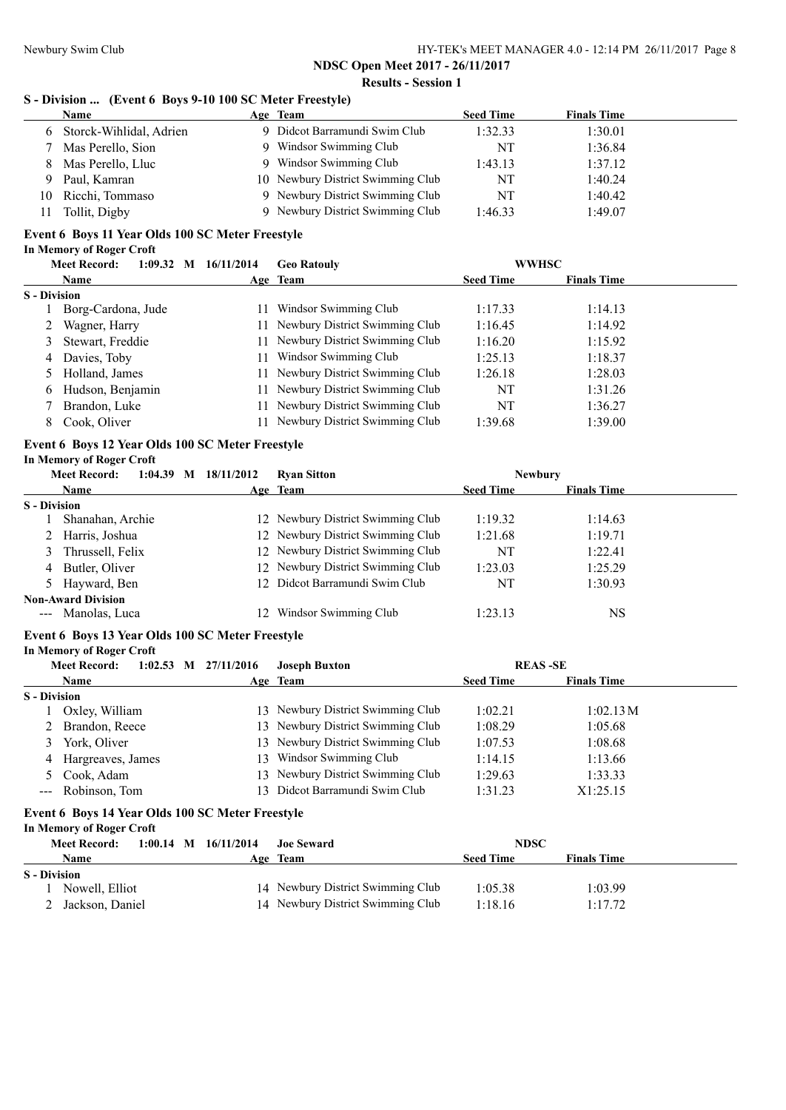#### **NDSC Open Meet 2017 - 26/11/2017 Results - Session 1**

# **S - Division ... (Event 6 Boys 9-10 100 SC Meter Freestyle)**

|    | <b>Name</b>               | Age Team                          | <b>Seed Time</b> | <b>Finals Time</b> |  |
|----|---------------------------|-----------------------------------|------------------|--------------------|--|
|    | 6 Storck-Wihlidal, Adrien | Didcot Barramundi Swim Club       | 1:32.33          | 1:30.01            |  |
|    | Mas Perello, Sion         | 9 Windsor Swimming Club           | NT               | 1:36.84            |  |
| 8. | Mas Perello, Lluc         | Windsor Swimming Club             | 1:43.13          | 1:37.12            |  |
| Q. | Paul, Kamran              | 10 Newbury District Swimming Club | NT               | 1:40.24            |  |
| 10 | Ricchi, Tommaso           | 9 Newbury District Swimming Club  | NT               | 1:40.42            |  |
|    | Tollit, Digby             | 9 Newbury District Swimming Club  | 1:46.33          | 1:49.07            |  |

# **Event 6 Boys 11 Year Olds 100 SC Meter Freestyle**

|  | In Memory of Roger Croft |  |  |  |
|--|--------------------------|--|--|--|
|--|--------------------------|--|--|--|

|                     | <b>Meet Record:</b> |  | $1:09.32$ M $16/11/2014$ | <b>Geo Ratouly</b>                |                  | <b>WWHSC</b>       |  |
|---------------------|---------------------|--|--------------------------|-----------------------------------|------------------|--------------------|--|
|                     | <b>Name</b>         |  |                          | Age Team                          | <b>Seed Time</b> | <b>Finals Time</b> |  |
| <b>S</b> - Division |                     |  |                          |                                   |                  |                    |  |
|                     | Borg-Cardona, Jude  |  | 11                       | Windsor Swimming Club             | 1:17.33          | 1:14.13            |  |
|                     | Wagner, Harry       |  |                          | 11 Newbury District Swimming Club | 1:16.45          | 1:14.92            |  |
|                     | 3 Stewart, Freddie  |  |                          | 11 Newbury District Swimming Club | 1:16.20          | 1:15.92            |  |
|                     | 4 Davies, Toby      |  | 11                       | Windsor Swimming Club             | 1:25.13          | 1:18.37            |  |
|                     | 5 Holland, James    |  |                          | 11 Newbury District Swimming Club | 1:26.18          | 1:28.03            |  |
| 6                   | Hudson, Benjamin    |  | 11                       | Newbury District Swimming Club    | NT               | 1:31.26            |  |
|                     | Brandon, Luke       |  |                          | 11 Newbury District Swimming Club | NT               | 1:36.27            |  |
| 8                   | Cook, Oliver        |  | 11                       | Newbury District Swimming Club    | 1:39.68          | 1:39.00            |  |

# **Event 6 Boys 12 Year Olds 100 SC Meter Freestyle**

#### **In Memory of Roger Croft**

|                     | <b>Meet Record:</b><br>$1:04.39$ M | 18/11/2012 | <b>Ryan Sitton</b>                | <b>Newbury</b>   |                    |  |
|---------------------|------------------------------------|------------|-----------------------------------|------------------|--------------------|--|
|                     | <b>Name</b>                        |            | Age Team                          | <b>Seed Time</b> | <b>Finals Time</b> |  |
| <b>S</b> - Division |                                    |            |                                   |                  |                    |  |
|                     | Shanahan, Archie                   |            | 12 Newbury District Swimming Club | 1:19.32          | 1:14.63            |  |
|                     | Harris, Joshua                     |            | 12 Newbury District Swimming Club | 1:21.68          | 1:19.71            |  |
|                     | Thrussell, Felix                   |            | 12 Newbury District Swimming Club | NT               | 1:22.41            |  |
| 4                   | Butler, Oliver                     |            | 12 Newbury District Swimming Club | 1:23.03          | 1:25.29            |  |
|                     | 5 Hayward, Ben                     |            | 12 Didcot Barramundi Swim Club    | NT               | 1:30.93            |  |
|                     | <b>Non-Award Division</b>          |            |                                   |                  |                    |  |
|                     | --- Manolas, Luca                  |            | Windsor Swimming Club             | 1:23.13          | NS                 |  |

# **Event 6 Boys 13 Year Olds 100 SC Meter Freestyle**

**In Memory of Roger Croft**

| <b>Meet Record:</b> |                     | $1:02.53$ M $27/11/2016$ | <b>Joseph Buxton</b> | <b>REAS-SE</b>                    |                  |                    |  |
|---------------------|---------------------|--------------------------|----------------------|-----------------------------------|------------------|--------------------|--|
|                     | <b>Name</b>         |                          |                      | Age Team                          | <b>Seed Time</b> | <b>Finals Time</b> |  |
| <b>S</b> - Division |                     |                          |                      |                                   |                  |                    |  |
|                     | Oxley, William      |                          |                      | 13 Newbury District Swimming Club | 1:02.21          | 1:02.13 M          |  |
|                     | 2 Brandon, Reece    |                          |                      | 13 Newbury District Swimming Club | 1:08.29          | 1:05.68            |  |
| 3.                  | York, Oliver        |                          |                      | 13 Newbury District Swimming Club | 1:07.53          | 1:08.68            |  |
|                     | 4 Hargreaves, James |                          | 13.                  | Windsor Swimming Club             | 1:14.15          | 1:13.66            |  |
|                     | 5 Cook, Adam        |                          |                      | 13 Newbury District Swimming Club | 1:29.63          | 1:33.33            |  |
|                     | --- Robinson, Tom   |                          |                      | 13 Didcot Barramundi Swim Club    | 1:31.23          | X1:25.15           |  |

# **Event 6 Boys 14 Year Olds 100 SC Meter Freestyle**

**In Memory of Roger Croft**

|              | <b>Meet Record:</b> | $1:00.14$ M $16/11/2014$ | <b>Joe Seward</b>                 | <b>NDSC</b>      |                    |  |
|--------------|---------------------|--------------------------|-----------------------------------|------------------|--------------------|--|
|              | Name                |                          | Age Team                          | <b>Seed Time</b> | <b>Finals Time</b> |  |
| S - Division |                     |                          |                                   |                  |                    |  |
|              | Nowell, Elliot      |                          | 14 Newbury District Swimming Club | 1:05.38          | 1:03.99            |  |
|              | Jackson, Daniel     |                          | 14 Newbury District Swimming Club | 1:18.16          | 1:17.72            |  |